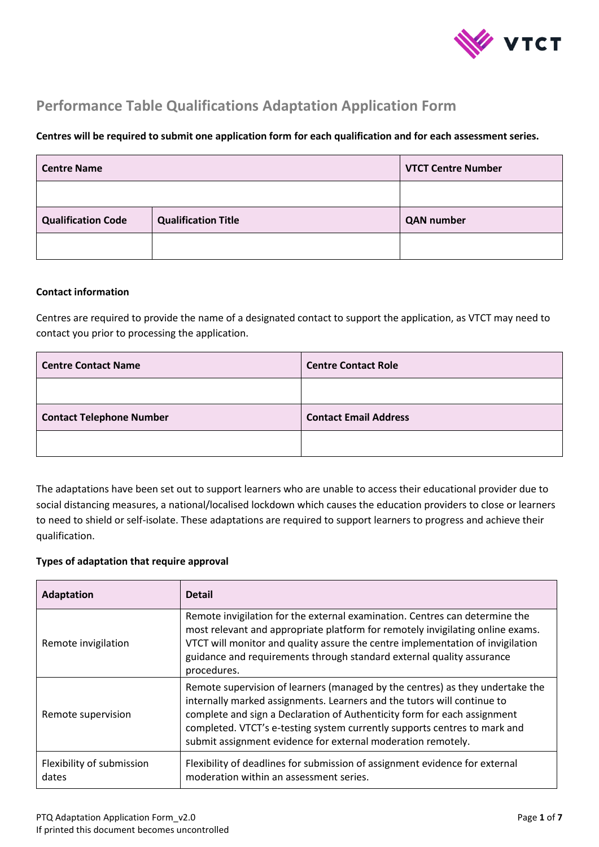

# **Performance Table Qualifications Adaptation Application Form**

#### **Centres will be required to submit one application form for each qualification and for each assessment series.**

| <b>Centre Name</b>        |                            | <b>VTCT Centre Number</b> |
|---------------------------|----------------------------|---------------------------|
|                           |                            |                           |
| <b>Qualification Code</b> | <b>Qualification Title</b> | <b>QAN</b> number         |
|                           |                            |                           |

#### **Contact information**

Centres are required to provide the name of a designated contact to support the application, as VTCT may need to contact you prior to processing the application.

| <b>Centre Contact Name</b>      | <b>Centre Contact Role</b>   |
|---------------------------------|------------------------------|
|                                 |                              |
| <b>Contact Telephone Number</b> | <b>Contact Email Address</b> |
|                                 |                              |

The adaptations have been set out to support learners who are unable to access their educational provider due to social distancing measures, a national/localised lockdown which causes the education providers to close or learners to need to shield or self-isolate. These adaptations are required to support learners to progress and achieve their qualification.

#### **Types of adaptation that require approval**

| <b>Adaptation</b>                  | <b>Detail</b>                                                                                                                                                                                                                                                                                                                                                                     |
|------------------------------------|-----------------------------------------------------------------------------------------------------------------------------------------------------------------------------------------------------------------------------------------------------------------------------------------------------------------------------------------------------------------------------------|
| Remote invigilation                | Remote invigilation for the external examination. Centres can determine the<br>most relevant and appropriate platform for remotely invigilating online exams.<br>VTCT will monitor and quality assure the centre implementation of invigilation<br>guidance and requirements through standard external quality assurance<br>procedures.                                           |
| Remote supervision                 | Remote supervision of learners (managed by the centres) as they undertake the<br>internally marked assignments. Learners and the tutors will continue to<br>complete and sign a Declaration of Authenticity form for each assignment<br>completed. VTCT's e-testing system currently supports centres to mark and<br>submit assignment evidence for external moderation remotely. |
| Flexibility of submission<br>dates | Flexibility of deadlines for submission of assignment evidence for external<br>moderation within an assessment series.                                                                                                                                                                                                                                                            |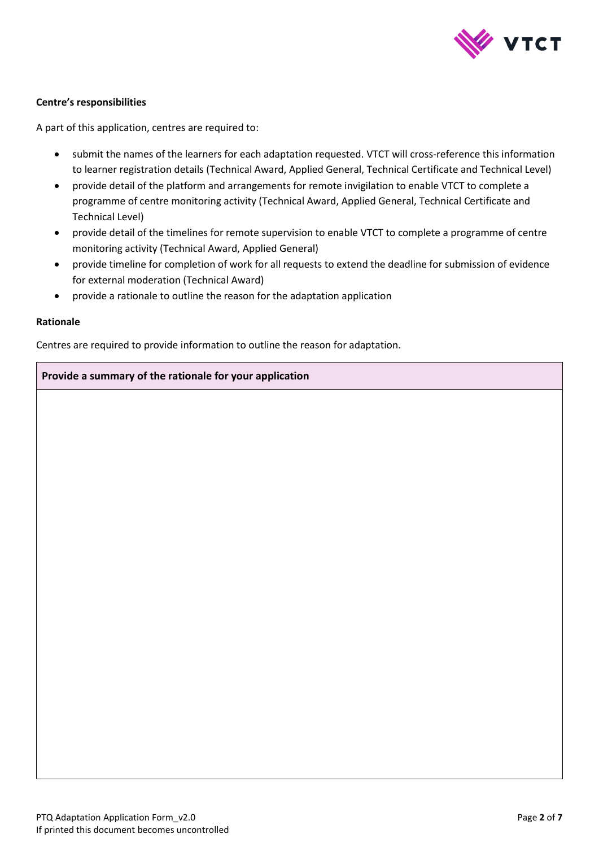

#### **Centre's responsibilities**

A part of this application, centres are required to:

- submit the names of the learners for each adaptation requested. VTCT will cross-reference this information to learner registration details (Technical Award, Applied General, Technical Certificate and Technical Level)
- provide detail of the platform and arrangements for remote invigilation to enable VTCT to complete a programme of centre monitoring activity (Technical Award, Applied General, Technical Certificate and Technical Level)
- provide detail of the timelines for remote supervision to enable VTCT to complete a programme of centre monitoring activity (Technical Award, Applied General)
- provide timeline for completion of work for all requests to extend the deadline for submission of evidence for external moderation (Technical Award)
- provide a rationale to outline the reason for the adaptation application

#### **Rationale**

Centres are required to provide information to outline the reason for adaptation.

#### **Provide a summary of the rationale for your application**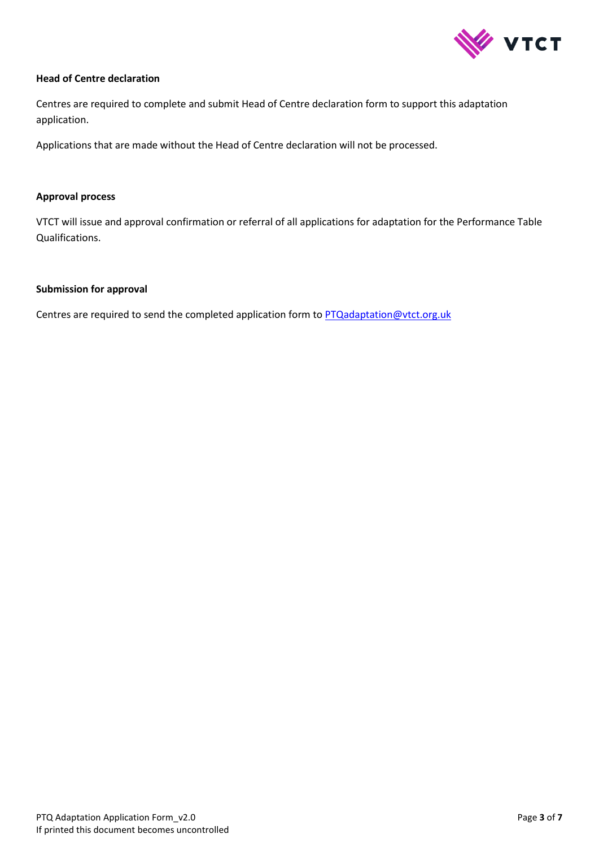

#### **Head of Centre declaration**

Centres are required to complete and submit Head of Centre declaration form to support this adaptation application.

Applications that are made without the Head of Centre declaration will not be processed.

#### **Approval process**

VTCT will issue and approval confirmation or referral of all applications for adaptation for the Performance Table Qualifications.

#### **Submission for approval**

Centres are required to send the completed application form to **PTQadaptation@vtct.org.uk**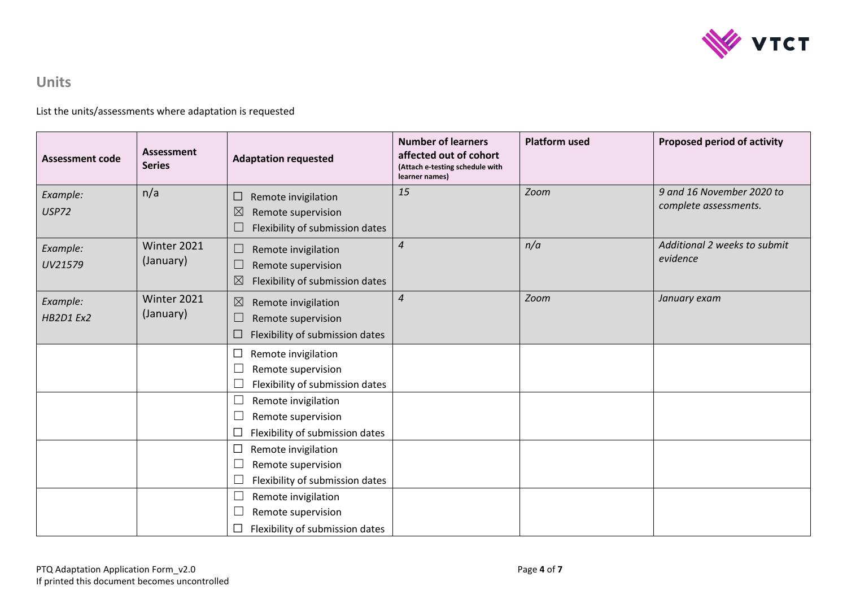

# **Units**

List the units/assessments where adaptation is requested

| <b>Assessment code</b>       | Assessment<br><b>Series</b> | <b>Adaptation requested</b>                                                                                                  | <b>Number of learners</b><br>affected out of cohort<br>(Attach e-testing schedule with<br>learner names) | <b>Platform used</b> | Proposed period of activity                        |
|------------------------------|-----------------------------|------------------------------------------------------------------------------------------------------------------------------|----------------------------------------------------------------------------------------------------------|----------------------|----------------------------------------------------|
| Example:<br><b>USP72</b>     | n/a                         | Remote invigilation<br>⊔<br>$\boxtimes$<br>Remote supervision<br>Flexibility of submission dates                             | 15                                                                                                       | Zoom                 | 9 and 16 November 2020 to<br>complete assessments. |
| Example:<br>UV21579          | Winter 2021<br>(January)    | Remote invigilation<br>$\overline{\phantom{a}}$<br>Remote supervision<br>└<br>$\boxtimes$<br>Flexibility of submission dates | $\overline{4}$                                                                                           | n/a                  | Additional 2 weeks to submit<br>evidence           |
| Example:<br><b>HB2D1 Ex2</b> | Winter 2021<br>(January)    | $\boxtimes$<br>Remote invigilation<br>Remote supervision<br>$\overline{\phantom{a}}$<br>Flexibility of submission dates<br>⊔ | $\overline{4}$                                                                                           | Zoom                 | January exam                                       |
|                              |                             | Remote invigilation<br>⊔<br>Remote supervision<br>Flexibility of submission dates                                            |                                                                                                          |                      |                                                    |
|                              |                             | Remote invigilation<br>$\overline{\phantom{a}}$<br>Remote supervision<br>Flexibility of submission dates                     |                                                                                                          |                      |                                                    |
|                              |                             | Remote invigilation<br>⊔<br>Remote supervision<br>└<br>Flexibility of submission dates<br>└                                  |                                                                                                          |                      |                                                    |
|                              |                             | Remote invigilation<br>└<br>Remote supervision<br>Flexibility of submission dates                                            |                                                                                                          |                      |                                                    |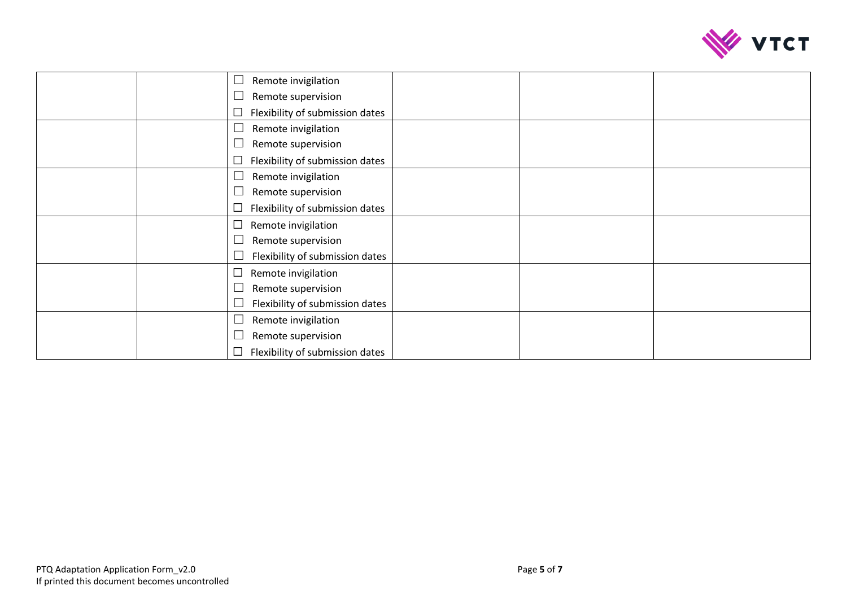

| Remote invigilation             |  |
|---------------------------------|--|
|                                 |  |
| Remote supervision              |  |
| Flexibility of submission dates |  |
| Remote invigilation             |  |
| Remote supervision              |  |
| Flexibility of submission dates |  |
| Remote invigilation             |  |
| Remote supervision              |  |
| Flexibility of submission dates |  |
| Remote invigilation<br>$\Box$   |  |
| Remote supervision              |  |
| Flexibility of submission dates |  |
| Remote invigilation<br>$\Box$   |  |
| Remote supervision              |  |
| Flexibility of submission dates |  |
| Remote invigilation             |  |
| Remote supervision              |  |
| Flexibility of submission dates |  |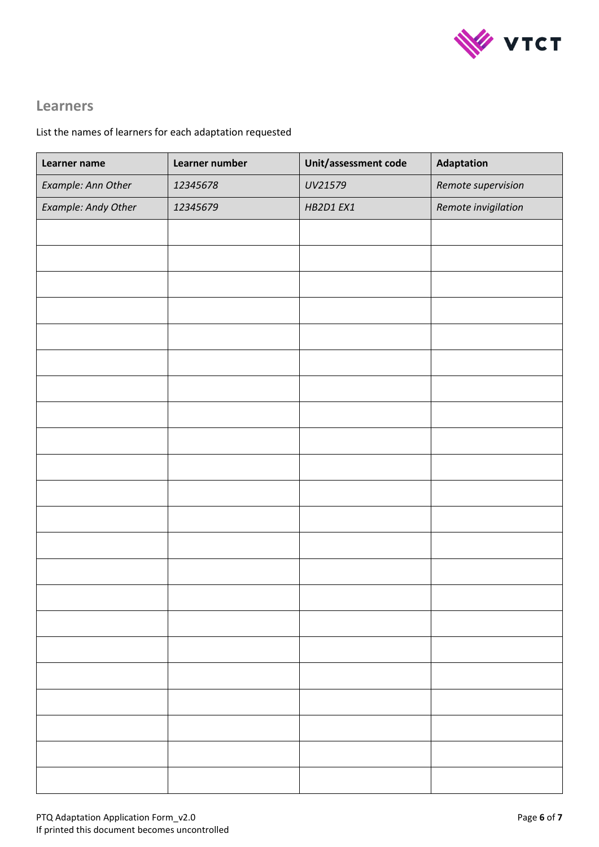

## **Learners**

## List the names of learners for each adaptation requested

| Learner name        | Learner number | Unit/assessment code | Adaptation          |
|---------------------|----------------|----------------------|---------------------|
| Example: Ann Other  | 12345678       | UV21579              | Remote supervision  |
| Example: Andy Other | 12345679       | HB2D1 EX1            | Remote invigilation |
|                     |                |                      |                     |
|                     |                |                      |                     |
|                     |                |                      |                     |
|                     |                |                      |                     |
|                     |                |                      |                     |
|                     |                |                      |                     |
|                     |                |                      |                     |
|                     |                |                      |                     |
|                     |                |                      |                     |
|                     |                |                      |                     |
|                     |                |                      |                     |
|                     |                |                      |                     |
|                     |                |                      |                     |
|                     |                |                      |                     |
|                     |                |                      |                     |
|                     |                |                      |                     |
|                     |                |                      |                     |
|                     |                |                      |                     |
|                     |                |                      |                     |
|                     |                |                      |                     |
|                     |                |                      |                     |
|                     |                |                      |                     |